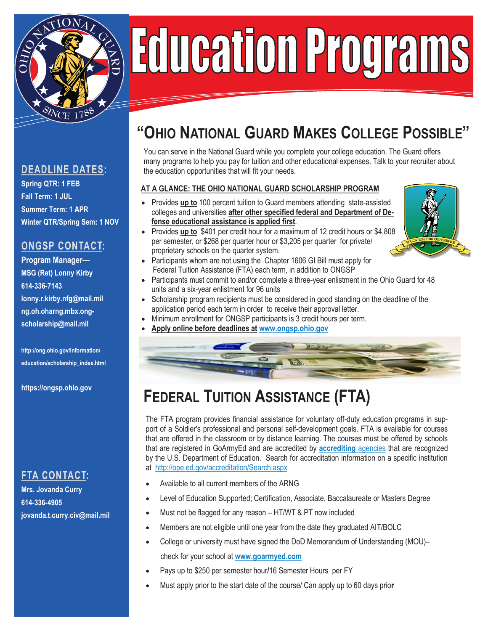

# Education Programs

### **DEADLINE DATES:**

**Spring QTR: 1 FEB Fall Term: 1 JUL Summer Term: 1 APR Winter QTR/Spring Sem: 1 NOV**

## **ONGSP CONTACT:**

**Program Manager**— **MSG (Ret) Lonny Kirby 614-336-7143 lonny.r.kirby.nfg@mail.mil ng.oh.oharng.mbx.ongscholarship@mail.mil**

**http://ong.ohio.gov/information/ education/scholarship\_index.html**

**https://ongsp.ohio.gov**

## **FTA CONTACT:**

**Mrs. Jovanda Curry 614-336-4905 jovanda.t.curry.civ@mail.mil**

# **"OHIO NATIONAL GUARD MAKES COLLEGE POSSIBLE"**

You can serve in the National Guard while you complete your college education. The Guard offers many programs to help you pay for tuition and other educational expenses. Talk to your recruiter about the education opportunities that will fit your needs.

#### **AT A GLANCE: THE OHIO NATIONAL GUARD SCHOLARSHIP PROGRAM**

- Provides **up to** 100 percent tuition to Guard members attending state-assisted colleges and universities **after other specified federal and Department of Defense educational assistance is applied first**.
- Provides **up to** \$401 per credit hour for a maximum of 12 credit hours or \$4,808 per semester, or \$268 per quarter hour or \$3,205 per quarter for private/ proprietary schools on the quarter system.
- Participants whom are not using the Chapter 1606 GI Bill must apply for Federal Tuition Assistance (FTA) each term, in addition to ONGSP
- Participants must commit to and/or complete a three-year enlistment in the Ohio Guard for 48 units and a six-year enlistment for 96 units
- Scholarship program recipients must be considered in good standing on the deadline of the application period each term in order to receive their approval letter.
- Minimum enrollment for ONGSP participants is 3 credit hours per term.
- **Apply online before deadlines at [www.ongsp.ohio.gov](http://www.ongsp.org)**



# **FEDERAL TUITION ASSISTANCE (FTA)**

The FTA program provides financial assistance for voluntary off-duty education programs in support of a Soldier's professional and personal self-development goals. FTA is available for courses that are offered in the classroom or by distance learning. The courses must be offered by schools that are registered in GoArmyEd and are accredited by **[accrediting](http://www.ed.gov/admins/finaid/accred/accreditation_pg6.html#NationallyRecognized.)** agencies that are recognized by the U.S. Department of Education. Search for accreditation information on a specific institution at <http://ope.ed.gov/accreditation/Search.aspx>

- Available to all current members of the ARNG
- Level of Education Supported; Certification, Associate, Baccalaureate or Masters Degree
- Must not be flagged for any reason HT/WT & PT now included
- Members are not eligible until one year from the date they graduated AIT/BOLC
- College or university must have signed the DoD Memorandum of Understanding (MOU)– check for your school at **[www.goarmyed.com](http://www.dodmou.com/)**
- Pays up to \$250 per semester hour**/**16 Semester Hours per FY
- Must apply prior to the start date of the course/ Can apply up to 60 days prio**r**